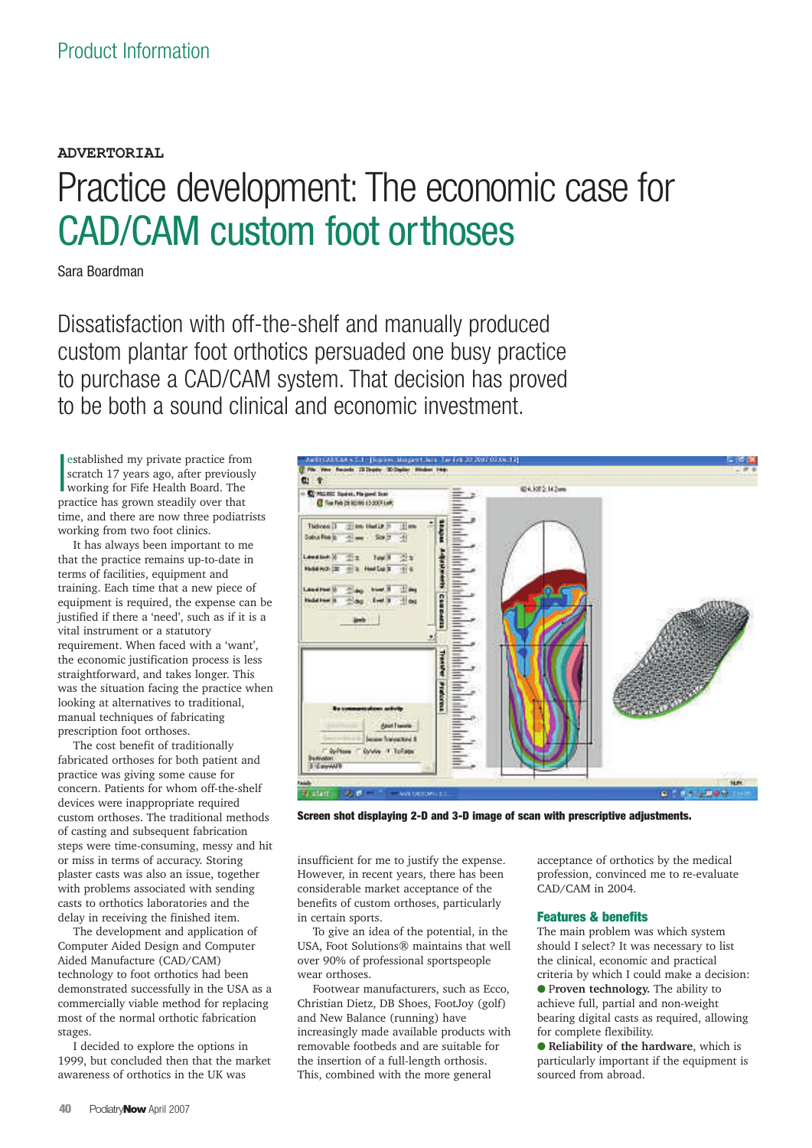# **ADVERTORIAL** Practice development: The economic case for CAD/CAM custom foot orthoses

Sara Boardman

Dissatisfaction with off-the-shelf and manually produced custom plantar foot orthotics persuaded one busy practice to purchase a CAD/CAM system. That decision has proved to be both a sound clinical and economic investment.

 $\overline{\phantom{a}}$ established my private practice from scratch 17 years ago, after previously working for Fife Health Board. The practice has grown steadily over that time, and there are now three podiatrists working from two foot clinics.

It has always been important to me that the practice remains up-to-date in terms of facilities, equipment and training. Each time that a new piece of equipment is required, the expense can be justified if there a 'need', such as if it is a vital instrument or a statutory requirement. When faced with a 'want', the economic justification process is less straightforward, and takes longer. This was the situation facing the practice when looking at alternatives to traditional, manual techniques of fabricating prescription foot orthoses.

The cost benefit of traditionally fabricated orthoses for both patient and practice was giving some cause for concern. Patients for whom off-the-shelf devices were inappropriate required custom orthoses. The traditional methods of casting and subsequent fabrication steps were time-consuming, messy and hit or miss in terms of accuracy. Storing plaster casts was also an issue, together with problems associated with sending casts to orthotics laboratories and the delay in receiving the finished item.

The development and application of Computer Aided Design and Computer Aided Manufacture (CAD/CAM) technology to foot orthotics had been demonstrated successfully in the USA as a commercially viable method for replacing most of the normal orthotic fabrication stages.

I decided to explore the options in 1999, but concluded then that the market awareness of orthotics in the UK was



**Screen shot displaying 2-D and 3-D image of scan with prescriptive adjustments.**

insufficient for me to justify the expense. However, in recent years, there has been considerable market acceptance of the benefits of custom orthoses, particularly in certain sports.

To give an idea of the potential, in the USA, Foot Solutions® maintains that well over 90% of professional sportspeople wear orthoses.

Footwear manufacturers, such as Ecco, Christian Dietz, DB Shoes, FootJoy (golf) and New Balance (running) have increasingly made available products with removable footbeds and are suitable for the insertion of a full-length orthosis. This, combined with the more general

acceptance of orthotics by the medical profession, convinced me to re-evaluate .<br>CAD/CAM in 2004.

## **Features & benefits**

The main problem was which system should I select? It was necessary to list the clinical, economic and practical criteria by which I could make a decision: ● P**roven technology.** The ability to achieve full, partial and non-weight bearing digital casts as required, allowing for complete flexibility.

● **Reliability of the hardware**, which is particularly important if the equipment is sourced from abroad.